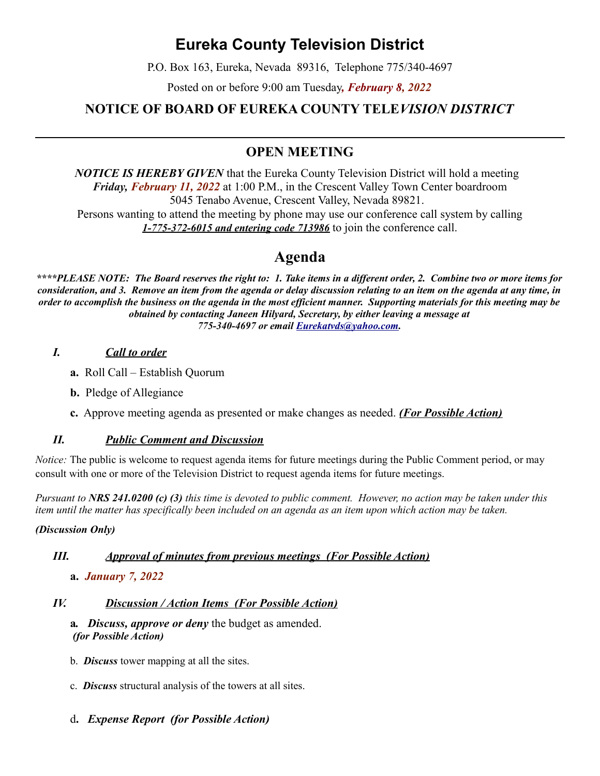# **Eureka County Television District**

P.O. Box 163, Eureka, Nevada 89316, Telephone 775/340-4697

Posted on or before 9:00 am Tuesday*, February 8, 2022*

# **NOTICE OF BOARD OF EUREKA COUNTY TELE***VISION DISTRICT*

# **OPEN MEETING**

*NOTICE IS HEREBY GIVEN* that the Eureka County Television District will hold a meeting *Friday, February 11, 2022* at 1:00 P.M., in the Crescent Valley Town Center boardroom 5045 Tenabo Avenue, Crescent Valley, Nevada 89821. Persons wanting to attend the meeting by phone may use our conference call system by calling *1-775-372-6015 and entering code 713986* to join the conference call.

# **Agenda**

*\*\*\*\*PLEASE NOTE: The Board reserves the right to: 1. Take items in a different order, 2. Combine two or more items for consideration, and 3. Remove an item from the agenda or delay discussion relating to an item on the agenda at any time, in order to accomplish the business on the agenda in the most efficient manner. Supporting materials for this meeting may be obtained by contacting Janeen Hilyard, Secretary, by either leaving a message at 775-340-4697 or email [Eurekatvds@yahoo.com.](mailto:Eurekatvds@yahoo.com)*

#### *I. Call to order*

- **a.** Roll Call Establish Quorum
- **b.** Pledge of Allegiance
- **c.** Approve meeting agenda as presented or make changes as needed. *(For Possible Action)*

#### *II. Public Comment and Discussion*

*Notice:* The public is welcome to request agenda items for future meetings during the Public Comment period, or may consult with one or more of the Television District to request agenda items for future meetings.

*Pursuant to NRS 241.0200 (c) (3) this time is devoted to public comment. However, no action may be taken under this item until the matter has specifically been included on an agenda as an item upon which action may be taken.* 

#### *(Discussion Only)*

#### *III. Approval of minutes from previous meetings (For Possible Action)*

**a.** *January 7, 2022*

# *IV. Discussion / Action Items (For Possible Action)*

- **a***. Discuss, approve or deny* the budget as amended. *(for Possible Action)*
- b. *Discuss* tower mapping at all the sites.
- c. *Discuss* structural analysis of the towers at all sites.
- d**.** *Expense Report (for Possible Action)*